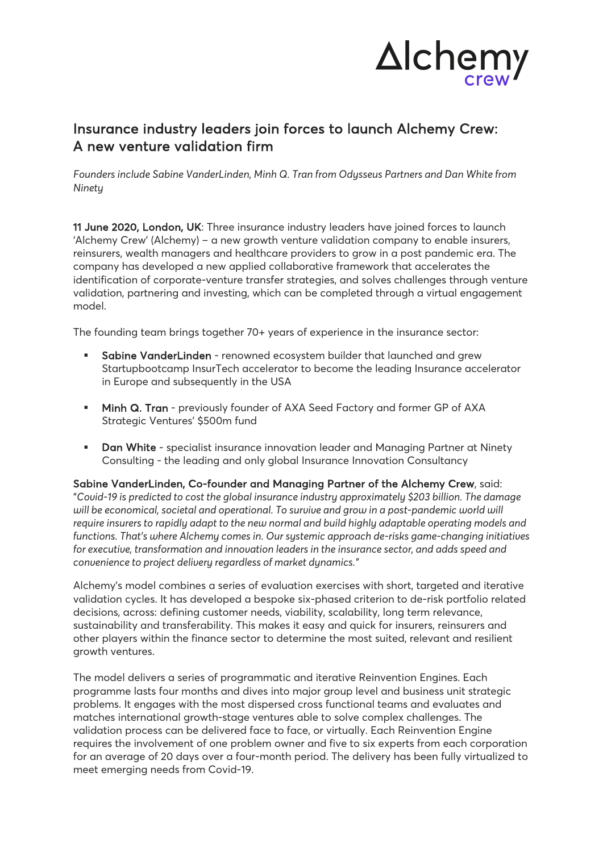

## Insurance industry leaders join forces to launch Alchemy Crew: A new venture validation firm

*Founders include Sabine VanderLinden, Minh Q. Tran from Odysseus Partners and Dan White from Ninety*

11 June 2020, London, UK: Three insurance industry leaders have joined forces to launch 'Alchemy Crew' (Alchemy) – a new growth venture validation company to enable insurers, reinsurers, wealth managers and healthcare providers to grow in a post pandemic era. The company has developed a new applied collaborative framework that accelerates the identification of corporate-venture transfer strategies, and solves challenges through venture validation, partnering and investing, which can be completed through a virtual engagement model.

The founding team brings together 70+ years of experience in the insurance sector:

- § Sabine VanderLinden renowned ecosystem builder that launched and grew Startupbootcamp InsurTech accelerator to become the leading Insurance accelerator in Europe and subsequently in the USA
- **Minh Q. Tran** previously founder of AXA Seed Factory and former GP of AXA Strategic Ventures' \$500m fund
- **Dan White** specialist insurance innovation leader and Managing Partner at Ninety Consulting - the leading and only global Insurance Innovation Consultancy

Sabine VanderLinden, Co-founder and Managing Partner of the Alchemy Crew, said: "*Covid-19 is predicted to cost the global insurance industry approximately \$203 billion. The damage will be economical, societal and operational. To survive and grow in a post-pandemic world will require insurers to rapidly adapt to the new normal and build highly adaptable operating models and functions. That's where Alchemy comes in. Our systemic approach de-risks game-changing initiatives for executive, transformation and innovation leaders in the insurance sector, and adds speed and convenience to project delivery regardless of market dynamics."*

Alchemy's model combines a series of evaluation exercises with short, targeted and iterative validation cycles. It has developed a bespoke six-phased criterion to de-risk portfolio related decisions, across: defining customer needs, viability, scalability, long term relevance, sustainability and transferability. This makes it easy and quick for insurers, reinsurers and other players within the finance sector to determine the most suited, relevant and resilient growth ventures.

The model delivers a series of programmatic and iterative Reinvention Engines. Each programme lasts four months and dives into major group level and business unit strategic problems. It engages with the most dispersed cross functional teams and evaluates and matches international growth-stage ventures able to solve complex challenges. The validation process can be delivered face to face, or virtually. Each Reinvention Engine requires the involvement of one problem owner and five to six experts from each corporation for an average of 20 days over a four-month period. The delivery has been fully virtualized to meet emerging needs from Covid-19.